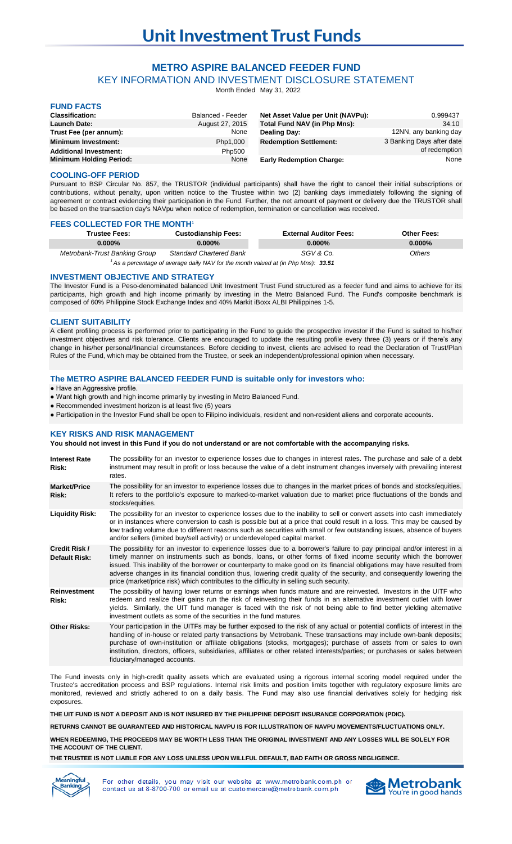# **METRO ASPIRE BALANCED FEEDER FUND**

KEY INFORMATION AND INVESTMENT DISCLOSURE STATEMENT

Month Ended May 31, 2022

| <b>FUND FACTS</b>              |                   |                                   |                           |
|--------------------------------|-------------------|-----------------------------------|---------------------------|
| <b>Classification:</b>         | Balanced - Feeder | Net Asset Value per Unit (NAVPu): | 0.999437                  |
| <b>Launch Date:</b>            | August 27, 2015   | Total Fund NAV (in Php Mns):      | 34.10                     |
| Trust Fee (per annum):         | None              | <b>Dealing Day:</b>               | 12NN, any banking day     |
| <b>Minimum Investment:</b>     | Php1,000          | <b>Redemption Settlement:</b>     | 3 Banking Days after date |
| <b>Additional Investment:</b>  | Php500            |                                   | of redemption             |
| <b>Minimum Holding Period:</b> | None              | <b>Early Redemption Charge:</b>   | None                      |

#### **COOLING-OFF PERIOD**

Pursuant to BSP Circular No. 857, the TRUSTOR (individual participants) shall have the right to cancel their initial subscriptions or contributions, without penalty, upon written notice to the Trustee within two (2) banking days immediately following the signing of agreement or contract evidencing their participation in the Fund. Further, the net amount of payment or delivery due the TRUSTOR shall be based on the transaction day's NAVpu when notice of redemption, termination or cancellation was received.

#### **FEES COLLECTED FOR THE MONTH**

| <b>Trustee Fees:</b>          | <b>Custodianship Fees:</b>     | <b>External Auditor Fees:</b> | <b>Other Fees:</b> |
|-------------------------------|--------------------------------|-------------------------------|--------------------|
| $0.000\%$                     | $0.000\%$                      | $0.000\%$                     | $0.000\%$          |
| Metrobank-Trust Banking Group | <b>Standard Chartered Bank</b> | SGV & Co.                     | Others             |

*33.51 <sup>1</sup>As a percentage of average daily NAV for the month valued at (in Php Mns):*

#### **INVESTMENT OBJECTIVE AND STRATEGY**

The Investor Fund is a Peso-denominated balanced Unit Investment Trust Fund structured as a feeder fund and aims to achieve for its participants, high growth and high income primarily by investing in the Metro Balanced Fund. The Fund's composite benchmark is composed of 60% Philippine Stock Exchange Index and 40% Markit iBoxx ALBI Philippines 1-5.

#### **CLIENT SUITABILITY**

A client profiling process is performed prior to participating in the Fund to guide the prospective investor if the Fund is suited to his/her investment objectives and risk tolerance. Clients are encouraged to update the resulting profile every three (3) years or if there's any change in his/her personal/financial circumstances. Before deciding to invest, clients are advised to read the Declaration of Trust/Plan Rules of the Fund, which may be obtained from the Trustee, or seek an independent/professional opinion when necessary.

#### **The METRO ASPIRE BALANCED FEEDER FUND is suitable only for investors who:**

● Have an Aggressive profile.

● Want high growth and high income primarily by investing in Metro Balanced Fund.

- Recommended investment horizon is at least five (5) years
- Participation in the Investor Fund shall be open to Filipino individuals, resident and non-resident aliens and corporate accounts.

### **KEY RISKS AND RISK MANAGEMENT**

**You should not invest in this Fund if you do not understand or are not comfortable with the accompanying risks.**

| <b>Interest Rate</b><br>Risk:                | The possibility for an investor to experience losses due to changes in interest rates. The purchase and sale of a debt<br>instrument may result in profit or loss because the value of a debt instrument changes inversely with prevailing interest<br>rates.                                                                                                                                                                                                                                                                                                                            |
|----------------------------------------------|------------------------------------------------------------------------------------------------------------------------------------------------------------------------------------------------------------------------------------------------------------------------------------------------------------------------------------------------------------------------------------------------------------------------------------------------------------------------------------------------------------------------------------------------------------------------------------------|
| <b>Market/Price</b><br>Risk:                 | The possibility for an investor to experience losses due to changes in the market prices of bonds and stocks/equities.<br>It refers to the portfolio's exposure to marked-to-market valuation due to market price fluctuations of the bonds and<br>stocks/equities.                                                                                                                                                                                                                                                                                                                      |
| <b>Liquidity Risk:</b>                       | The possibility for an investor to experience losses due to the inability to sell or convert assets into cash immediately<br>or in instances where conversion to cash is possible but at a price that could result in a loss. This may be caused by<br>low trading volume due to different reasons such as securities with small or few outstanding issues, absence of buyers<br>and/or sellers (limited buy/sell activity) or underdeveloped capital market.                                                                                                                            |
| <b>Credit Risk /</b><br><b>Default Risk:</b> | The possibility for an investor to experience losses due to a borrower's failure to pay principal and/or interest in a<br>timely manner on instruments such as bonds, loans, or other forms of fixed income security which the borrower<br>issued. This inability of the borrower or counterparty to make good on its financial obligations may have resulted from<br>adverse changes in its financial condition thus, lowering credit quality of the security, and consequently lowering the<br>price (market/price risk) which contributes to the difficulty in selling such security. |
| <b>Reinvestment</b><br>Risk:                 | The possibility of having lower returns or earnings when funds mature and are reinvested. Investors in the UITF who<br>redeem and realize their gains run the risk of reinvesting their funds in an alternative investment outlet with lower<br>yields. Similarly, the UIT fund manager is faced with the risk of not being able to find better yielding alternative<br>investment outlets as some of the securities in the fund matures.                                                                                                                                                |
| <b>Other Risks:</b>                          | Your participation in the UITFs may be further exposed to the risk of any actual or potential conflicts of interest in the<br>handling of in-house or related party transactions by Metrobank. These transactions may include own-bank deposits;<br>purchase of own-institution or affiliate obligations (stocks, mortgages); purchase of assets from or sales to own<br>institution, directors, officers, subsidiaries, affiliates or other related interests/parties; or purchases or sales between<br>fiduciary/managed accounts.                                                     |

The Fund invests only in high-credit quality assets which are evaluated using a rigorous internal scoring model required under the Trustee's accreditation process and BSP regulations. Internal risk limits and position limits together with regulatory exposure limits are monitored, reviewed and strictly adhered to on a daily basis. The Fund may also use financial derivatives solely for hedging risk exposures.

**THE UIT FUND IS NOT A DEPOSIT AND IS NOT INSURED BY THE PHILIPPINE DEPOSIT INSURANCE CORPORATION (PDIC).**

**RETURNS CANNOT BE GUARANTEED AND HISTORICAL NAVPU IS FOR ILLUSTRATION OF NAVPU MOVEMENTS/FLUCTUATIONS ONLY.**

**WHEN REDEEMING, THE PROCEEDS MAY BE WORTH LESS THAN THE ORIGINAL INVESTMENT AND ANY LOSSES WILL BE SOLELY FOR THE ACCOUNT OF THE CLIENT.**

**THE TRUSTEE IS NOT LIABLE FOR ANY LOSS UNLESS UPON WILLFUL DEFAULT, BAD FAITH OR GROSS NEGLIGENCE.**



For other details, you may visit our website at www.metrobank.com.ph or contact us at 8-8700-700 or email us at customercare@metrobank.com.ph

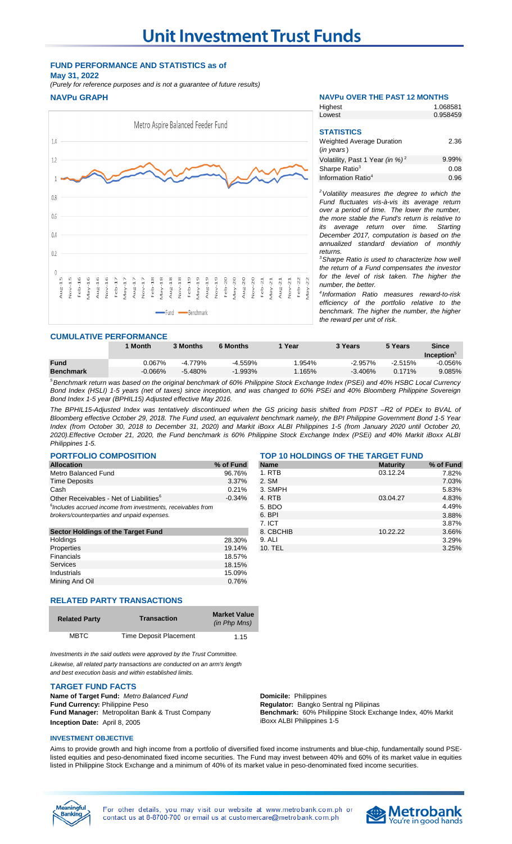## **FUND PERFORMANCE AND STATISTICS as of May 31, 2022**

**NAVPu GRAPH NAVPu OVER THE PAST 12 MONTHS** *(Purely for reference purposes and is not a guarantee of future results)*



| Highest                                     | 1.068581 |
|---------------------------------------------|----------|
| Lowest                                      | 0.958459 |
|                                             |          |
| <b>STATISTICS</b>                           |          |
| <b>Weighted Average Duration</b>            | 2.36     |
| $(in \text{ years})$                        |          |
| Volatility, Past 1 Year (in %) <sup>2</sup> | 9.99%    |
| Sharpe Ratio <sup>3</sup>                   | 0.08     |
| Information Ratio <sup>4</sup>              | 0.96     |

*<sup>2</sup>Volatility measures the degree to which the Fund fluctuates vis-à-vis its average return over a period of time. The lower the number, the more stable the Fund's return is relative to its average return over time. Starting December 2017, computation is based on the annualized standard deviation of monthly returns.* 

*<sup>3</sup>Sharpe Ratio is used to characterize how well the return of a Fund compensates the investor for the level of risk taken. The higher the number, the better.*

*4 Information Ratio measures reward-to-risk efficiency of the portfolio relative to the benchmark. The higher the number, the higher the reward per unit of risk.*

#### **CUMULATIVE PERFORMANCE**

|                  | <b>Month</b> | 3 Months  | <b>6 Months</b> | Year   | 3 Years    | 5 Years   | Since<br>Inception <sub>5</sub> |
|------------------|--------------|-----------|-----------------|--------|------------|-----------|---------------------------------|
| <b>Fund</b>      | 0.067%       | $-4.779%$ | $-4.559%$       | 1.954% | $-2.957\%$ | $-2.515%$ | $-0.056%$                       |
| <b>Benchmark</b> | $-0.066\%$   | $-5.480%$ | $-1.993\%$      | 1.165% | $-3.406%$  | 0.171%    | 9.085%                          |
|                  |              |           |                 |        |            |           |                                 |

<sup>5</sup> Benchmark return was based on the original benchmark of 60% Philippine Stock Exchange Index (PSEi) and 40% HSBC Local Currency Bond Index (HSLI) 1-5 years (net of taxes) since inception, and was changed to 60% PSEi and 40% Bloomberg Philippine Sovereign *Bond Index 1-5 year (BPHIL15) Adjusted effective May 2016.*

The BPHIL15-Adjusted Index was tentatively discontinued when the GS pricing basis shifted from PDST -R2 of PDEx to BVAL of Bloomberg effective October 29, 2018. The Fund used, an equivalent benchmark namely, the BPI Philippine Government Bond 1-5 Year Index (from October 30, 2018 to December 31, 2020) and Markit iBoxx ALBI Philippines 1-5 (from January 2020 until October 20, 2020).Effective October 21, 2020, the Fund benchmark is 60% Philippine Stock Exchange Index (PSEi) and 40% Markit iBoxx ALBI *Philippines 1-5.*

Properties 19.14% 10. TEL 3.25%

| <b>PORTFOLIO COMPOSITION</b>                                            |           | <b>TOP 10 HOLDINGS OF THE TARGET FUND</b> |                 |           |  |
|-------------------------------------------------------------------------|-----------|-------------------------------------------|-----------------|-----------|--|
| <b>Allocation</b>                                                       | % of Fund | <b>Name</b>                               | <b>Maturity</b> | % of Fund |  |
| Metro Balanced Fund                                                     | 96.76%    | 1. RTB                                    | 03.12.24        | 7.82%     |  |
| <b>Time Deposits</b>                                                    | 3.37%     | 2. SM                                     |                 | 7.03%     |  |
| Cash                                                                    | 0.21%     | 3. SMPH                                   |                 | 5.83%     |  |
| Other Receivables - Net of Liabilities <sup>6</sup>                     | $-0.34%$  | 4. RTB                                    | 03.04.27        | 4.83%     |  |
| <sup>6</sup> Includes accrued income from investments, receivables from |           | 5. BDO                                    |                 | 4.49%     |  |
| brokers/counterparties and unpaid expenses.                             |           | 6. BPI                                    |                 | 3.88%     |  |
|                                                                         |           | 7. ICT                                    |                 | 3.87%     |  |
| Sector Holdings of the Target Fund                                      |           | 8. CBCHIB                                 | 10.22.22        | 3.66%     |  |
| Holdings                                                                | 28.30%    | 9. ALI                                    |                 | 3.29%     |  |

# **RELATED PARTY TRANSACTIONS**

| <b>Related Party</b> | <b>Transaction</b>            | <b>Market Value</b><br>(in Php Mns) |
|----------------------|-------------------------------|-------------------------------------|
| MBTC                 | <b>Time Deposit Placement</b> | 1.15                                |

Financials 18.57% 18.57% 18.57% 18.57% 18.57% 18.57% 18.57% 18.57% 18.57% 18.57% 18.57% 18.57% 18.57% 18.57% 1 Services and the services of the services of the services of the services of the services of the services of the services of the services of the services of the services of the services of the services of the services of t Industrials 15.09% Mining And Oil 0.76%

*Investments in the said outlets were approved by the Trust Committee. Likewise, all related party transactions are conducted on an arm's length*

*and best execution basis and within established limits.*

### **TARGET FUND FACTS**

**Name of Target Fund:** Metro Balanced Fund **business Domicile:** Philippines **Fund Currency:** Philippine Peso **Regulator:** Bangko Sentral ng Pilipinas **Fund Manager:** Metropolitan Bank & Trust Company **Inception Date:** April 8, 2005

**Benchmark:** 60% Philippine Stock Exchange Index, 40% Markit iBoxx ALBI Philippines 1-5

#### **INVESTMENT OBJECTIVE**

Aims to provide growth and high income from a portfolio of diversified fixed income instruments and blue-chip, fundamentally sound PSElisted equities and peso-denominated fixed income securities. The Fund may invest between 40% and 60% of its market value in equities listed in Philippine Stock Exchange and a minimum of 40% of its market value in peso-denominated fixed income securities.